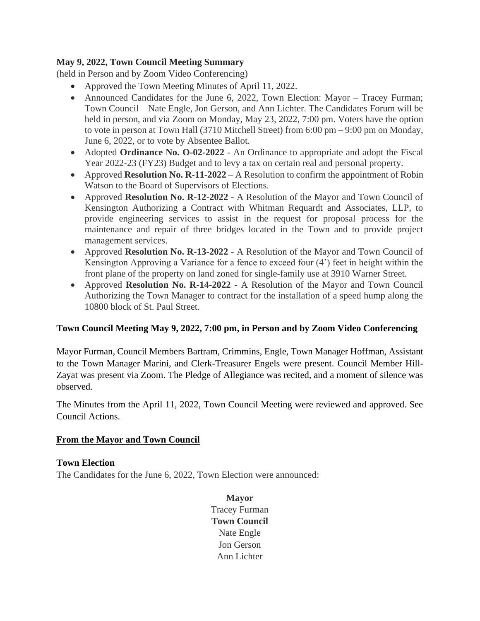## **May 9, 2022, Town Council Meeting Summary**

(held in Person and by Zoom Video Conferencing)

- Approved the Town Meeting Minutes of April 11, 2022.
- Announced Candidates for the June 6, 2022, Town Election: Mayor Tracey Furman; Town Council – Nate Engle, Jon Gerson, and Ann Lichter. The Candidates Forum will be held in person, and via Zoom on Monday, May 23, 2022, 7:00 pm. Voters have the option to vote in person at Town Hall (3710 Mitchell Street) from 6:00 pm – 9:00 pm on Monday, June 6, 2022, or to vote by Absentee Ballot.
- Adopted **Ordinance No. O-02-2022** An Ordinance to appropriate and adopt the Fiscal Year 2022-23 (FY23) Budget and to levy a tax on certain real and personal property.
- Approved **Resolution No. R-11-2022** A Resolution to confirm the appointment of Robin Watson to the Board of Supervisors of Elections.
- Approved **Resolution No. R-12-2022** A Resolution of the Mayor and Town Council of Kensington Authorizing a Contract with Whitman Requardt and Associates, LLP, to provide engineering services to assist in the request for proposal process for the maintenance and repair of three bridges located in the Town and to provide project management services.
- Approved **Resolution No. R-13-2022** A Resolution of the Mayor and Town Council of Kensington Approving a Variance for a fence to exceed four (4') feet in height within the front plane of the property on land zoned for single-family use at 3910 Warner Street.
- Approved **Resolution No. R-14-2022** A Resolution of the Mayor and Town Council Authorizing the Town Manager to contract for the installation of a speed hump along the 10800 block of St. Paul Street.

#### **Town Council Meeting May 9, 2022, 7:00 pm, in Person and by Zoom Video Conferencing**

Mayor Furman, Council Members Bartram, Crimmins, Engle, Town Manager Hoffman, Assistant to the Town Manager Marini, and Clerk-Treasurer Engels were present. Council Member Hill-Zayat was present via Zoom. The Pledge of Allegiance was recited, and a moment of silence was observed.

The Minutes from the April 11, 2022, Town Council Meeting were reviewed and approved. See Council Actions.

#### **From the Mayor and Town Council**

#### **Town Election**

The Candidates for the June 6, 2022, Town Election were announced:

**Mayor** Tracey Furman **Town Council** Nate Engle Jon Gerson Ann Lichter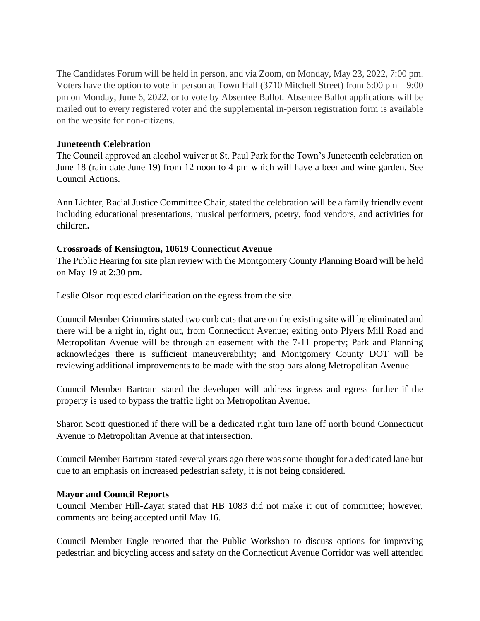The Candidates Forum will be held in person, and via Zoom, on Monday, May 23, 2022, 7:00 pm. Voters have the option to vote in person at Town Hall  $(3710$  Mitchell Street) from 6:00 pm – 9:00 pm on Monday, June 6, 2022, or to vote by Absentee Ballot. Absentee Ballot applications will be mailed out to every registered voter and the supplemental in-person registration form is available on the website for non-citizens.

#### **Juneteenth Celebration**

The Council approved an alcohol waiver at St. Paul Park for the Town's Juneteenth celebration on June 18 (rain date June 19) from 12 noon to 4 pm which will have a beer and wine garden. See Council Actions.

Ann Lichter, Racial Justice Committee Chair, stated the celebration will be a family friendly event including educational presentations, musical performers, poetry, food vendors, and activities for children**.**

## **Crossroads of Kensington, 10619 Connecticut Avenue**

The Public Hearing for site plan review with the Montgomery County Planning Board will be held on May 19 at 2:30 pm.

Leslie Olson requested clarification on the egress from the site.

Council Member Crimmins stated two curb cuts that are on the existing site will be eliminated and there will be a right in, right out, from Connecticut Avenue; exiting onto Plyers Mill Road and Metropolitan Avenue will be through an easement with the 7-11 property; Park and Planning acknowledges there is sufficient maneuverability; and Montgomery County DOT will be reviewing additional improvements to be made with the stop bars along Metropolitan Avenue.

Council Member Bartram stated the developer will address ingress and egress further if the property is used to bypass the traffic light on Metropolitan Avenue.

Sharon Scott questioned if there will be a dedicated right turn lane off north bound Connecticut Avenue to Metropolitan Avenue at that intersection.

Council Member Bartram stated several years ago there was some thought for a dedicated lane but due to an emphasis on increased pedestrian safety, it is not being considered.

#### **Mayor and Council Reports**

Council Member Hill-Zayat stated that HB 1083 did not make it out of committee; however, comments are being accepted until May 16.

Council Member Engle reported that the Public Workshop to discuss options for improving pedestrian and bicycling access and safety on the Connecticut Avenue Corridor was well attended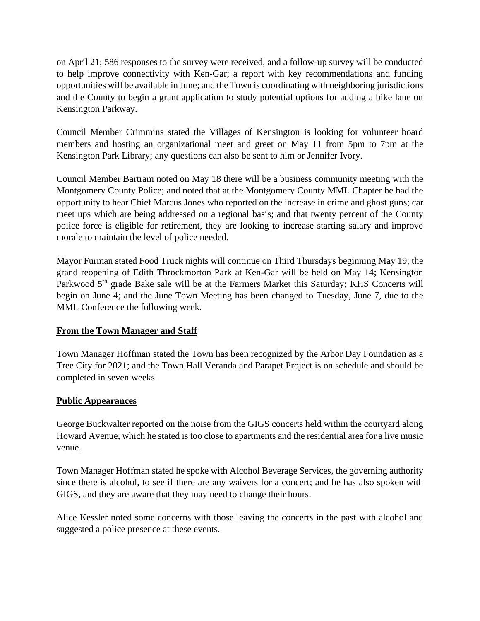on April 21; 586 responses to the survey were received, and a follow-up survey will be conducted to help improve connectivity with Ken-Gar; a report with key recommendations and funding opportunities will be available in June; and the Town is coordinating with neighboring jurisdictions and the County to begin a grant application to study potential options for adding a bike lane on Kensington Parkway.

Council Member Crimmins stated the Villages of Kensington is looking for volunteer board members and hosting an organizational meet and greet on May 11 from 5pm to 7pm at the Kensington Park Library; any questions can also be sent to him or Jennifer Ivory.

Council Member Bartram noted on May 18 there will be a business community meeting with the Montgomery County Police; and noted that at the Montgomery County MML Chapter he had the opportunity to hear Chief Marcus Jones who reported on the increase in crime and ghost guns; car meet ups which are being addressed on a regional basis; and that twenty percent of the County police force is eligible for retirement, they are looking to increase starting salary and improve morale to maintain the level of police needed.

Mayor Furman stated Food Truck nights will continue on Third Thursdays beginning May 19; the grand reopening of Edith Throckmorton Park at Ken-Gar will be held on May 14; Kensington Parkwood 5<sup>th</sup> grade Bake sale will be at the Farmers Market this Saturday; KHS Concerts will begin on June 4; and the June Town Meeting has been changed to Tuesday, June 7, due to the MML Conference the following week.

#### **From the Town Manager and Staff**

Town Manager Hoffman stated the Town has been recognized by the Arbor Day Foundation as a Tree City for 2021; and the Town Hall Veranda and Parapet Project is on schedule and should be completed in seven weeks.

#### **Public Appearances**

George Buckwalter reported on the noise from the GIGS concerts held within the courtyard along Howard Avenue, which he stated is too close to apartments and the residential area for a live music venue.

Town Manager Hoffman stated he spoke with Alcohol Beverage Services, the governing authority since there is alcohol, to see if there are any waivers for a concert; and he has also spoken with GIGS, and they are aware that they may need to change their hours.

Alice Kessler noted some concerns with those leaving the concerts in the past with alcohol and suggested a police presence at these events.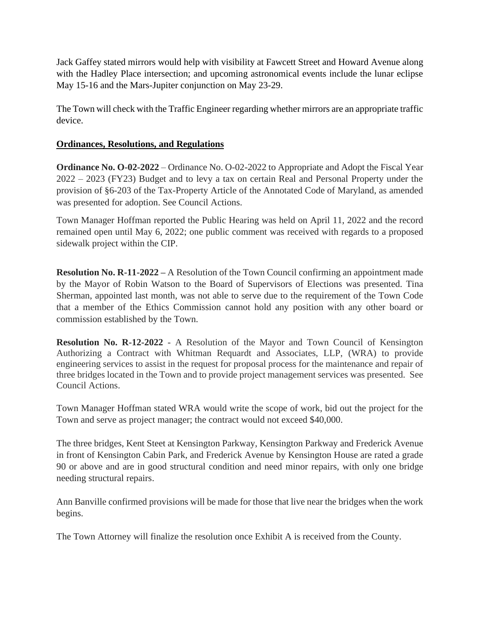Jack Gaffey stated mirrors would help with visibility at Fawcett Street and Howard Avenue along with the Hadley Place intersection; and upcoming astronomical events include the lunar eclipse May 15-16 and the Mars-Jupiter conjunction on May 23-29.

The Town will check with the Traffic Engineer regarding whether mirrors are an appropriate traffic device.

# **Ordinances, Resolutions, and Regulations**

**[Ordinance No. O-02-2022](https://r20.rs6.net/tn.jsp?f=001jPDsWhEJoskDCGPOEgETpJdARGBn779dH8WyTvdaAtYF71IIM97ServvaaHwD9p0AvvumP6XsMJ8Lb44fxyFgSlGv1ukQV18CBBpwevAzlq4cFEWImIYKaNIye6fOOD0MikGKzfzPEUqT3vzojHy3wNElZnQBmG-znoU-feCVOzyyhTAM84Hm8b_h1EYODA3BK7p9ezAn2CT7BGBzBoek1GRQHADjQwk6aTPZSK5o4TpNYIe9YnZt78BHkfKdfWG&c=J6pNeSR6b9oMLgPBNs1ReZjckvScfVc-eWm-JVwr-ztDY4AOYPrZbA==&ch=eC1LXLvQkr_4LCm6MkX2f6K1OonCpyD1iDKnmk3bmaKTVmnKatpP9g==)** – Ordinance No. O-02-2022 to Appropriate and Adopt the Fiscal Year 2022 – 2023 (FY23) Budget and to levy a tax on certain Real and Personal Property under the provision of §6-203 of the Tax-Property Article of the Annotated Code of Maryland, as amended was presented for adoption. See Council Actions.

Town Manager Hoffman reported the Public Hearing was held on April 11, 2022 and the record remained open until May 6, 2022; one public comment was received with regards to a proposed sidewalk project within the CIP.

**Resolution No. R-11-2022 –** A Resolution of the Town Council confirming an appointment made by the Mayor of Robin Watson to the Board of Supervisors of Elections was presented. Tina Sherman, appointed last month, was not able to serve due to the requirement of the Town Code that a member of the Ethics Commission cannot hold any position with any other board or commission established by the Town.

**Resolution No. R-12-2022** - A Resolution of the Mayor and Town Council of Kensington Authorizing a Contract with Whitman Requardt and Associates, LLP, (WRA) to provide engineering services to assist in the request for proposal process for the maintenance and repair of three bridges located in the Town and to provide project management services was presented. See Council Actions.

Town Manager Hoffman stated WRA would write the scope of work, bid out the project for the Town and serve as project manager; the contract would not exceed \$40,000.

The three bridges, Kent Steet at Kensington Parkway, Kensington Parkway and Frederick Avenue in front of Kensington Cabin Park, and Frederick Avenue by Kensington House are rated a grade 90 or above and are in good structural condition and need minor repairs, with only one bridge needing structural repairs.

Ann Banville confirmed provisions will be made for those that live near the bridges when the work begins.

The Town Attorney will finalize the resolution once Exhibit A is received from the County.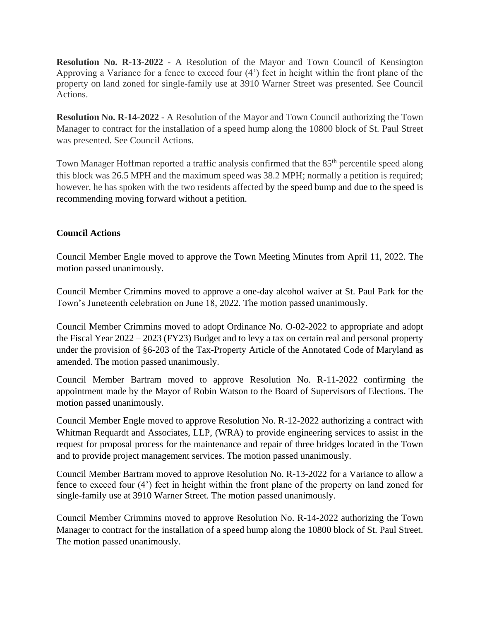**Resolution No. R-13-2022** - A Resolution of the Mayor and Town Council of Kensington Approving a Variance for a fence to exceed four (4') feet in height within the front plane of the property on land zoned for single-family use at 3910 Warner Street was presented. See Council Actions.

**Resolution No. R-14-2022** - A Resolution of the Mayor and Town Council authorizing the Town Manager to contract for the installation of a speed hump along the 10800 block of St. Paul Street was presented. See Council Actions.

Town Manager Hoffman reported a traffic analysis confirmed that the 85<sup>th</sup> percentile speed along this block was 26.5 MPH and the maximum speed was 38.2 MPH; normally a petition is required; however, he has spoken with the two residents affected by the speed bump and due to the speed is recommending moving forward without a petition.

## **Council Actions**

Council Member Engle moved to approve the Town Meeting Minutes from April 11, 2022. The motion passed unanimously.

Council Member Crimmins moved to approve a one-day alcohol waiver at St. Paul Park for the Town's Juneteenth celebration on June 18, 2022. The motion passed unanimously.

Council Member Crimmins moved to adopt Ordinance [No. O-02-2022](https://r20.rs6.net/tn.jsp?f=001jPDsWhEJoskDCGPOEgETpJdARGBn779dH8WyTvdaAtYF71IIM97ServvaaHwD9p0AvvumP6XsMJ8Lb44fxyFgSlGv1ukQV18CBBpwevAzlq4cFEWImIYKaNIye6fOOD0MikGKzfzPEUqT3vzojHy3wNElZnQBmG-znoU-feCVOzyyhTAM84Hm8b_h1EYODA3BK7p9ezAn2CT7BGBzBoek1GRQHADjQwk6aTPZSK5o4TpNYIe9YnZt78BHkfKdfWG&c=J6pNeSR6b9oMLgPBNs1ReZjckvScfVc-eWm-JVwr-ztDY4AOYPrZbA==&ch=eC1LXLvQkr_4LCm6MkX2f6K1OonCpyD1iDKnmk3bmaKTVmnKatpP9g==) to appropriate and adopt the Fiscal Year 2022 – 2023 (FY23) Budget and to levy a tax on certain real and personal property under the provision of §6-203 of the Tax-Property Article of the Annotated Code of Maryland as amended. The motion passed unanimously.

Council Member Bartram moved to approve Resolution No. R-11-2022 confirming the appointment made by the Mayor of Robin Watson to the Board of Supervisors of Elections. The motion passed unanimously.

Council Member Engle moved to approve Resolution No. R-12-2022 authorizing a contract with Whitman Requardt and Associates, LLP, (WRA) to provide engineering services to assist in the request for proposal process for the maintenance and repair of three bridges located in the Town and to provide project management services. The motion passed unanimously.

Council Member Bartram moved to approve Resolution No. R-13-2022 for a Variance to allow a fence to exceed four (4') feet in height within the front plane of the property on land zoned for single-family use at 3910 Warner Street. The motion passed unanimously.

Council Member Crimmins moved to approve Resolution No. R-14-2022 authorizing the Town Manager to contract for the installation of a speed hump along the 10800 block of St. Paul Street. The motion passed unanimously.